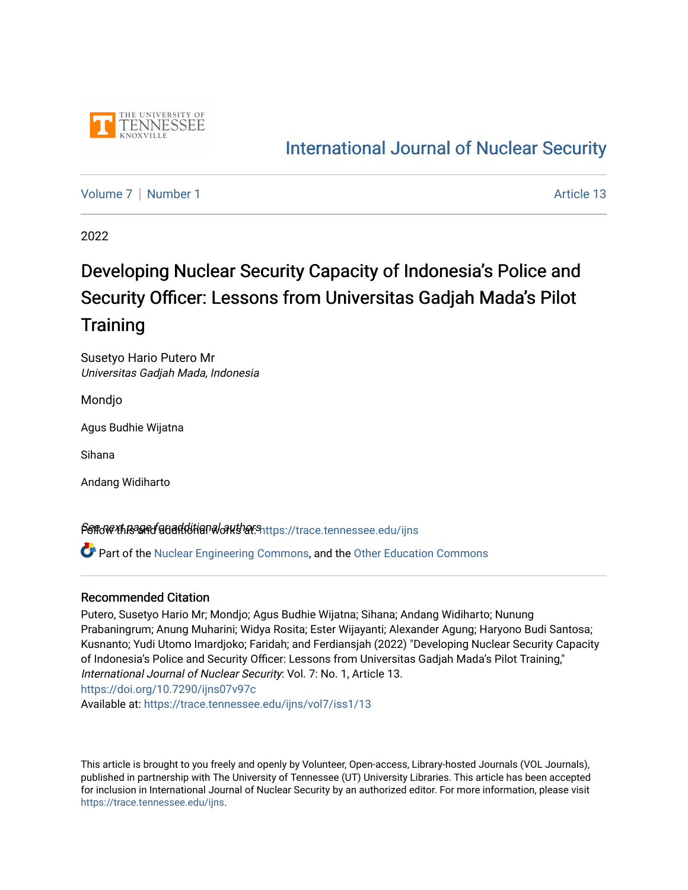

## [International Journal of Nuclear Security](https://trace.tennessee.edu/ijns)

[Volume 7](https://trace.tennessee.edu/ijns/vol7) | [Number 1](https://trace.tennessee.edu/ijns/vol7/iss1) Article 13

2022

# Developing Nuclear Security Capacity of Indonesia's Police and Security Officer: Lessons from Universitas Gadjah Mada's Pilot **Training**

Susetyo Hario Putero Mr Universitas Gadjah Mada, Indonesia

Mondjo

Agus Budhie Wijatna

Sihana

Andang Widiharto

Sert wext page for additional authors interest and additional series and additional series and additional series

Part of the [Nuclear Engineering Commons](http://network.bepress.com/hgg/discipline/314?utm_source=trace.tennessee.edu%2Fijns%2Fvol7%2Fiss1%2F13&utm_medium=PDF&utm_campaign=PDFCoverPages), and the [Other Education Commons](http://network.bepress.com/hgg/discipline/811?utm_source=trace.tennessee.edu%2Fijns%2Fvol7%2Fiss1%2F13&utm_medium=PDF&utm_campaign=PDFCoverPages) 

#### Recommended Citation

Putero, Susetyo Hario Mr; Mondjo; Agus Budhie Wijatna; Sihana; Andang Widiharto; Nunung Prabaningrum; Anung Muharini; Widya Rosita; Ester Wijayanti; Alexander Agung; Haryono Budi Santosa; Kusnanto; Yudi Utomo Imardjoko; Faridah; and Ferdiansjah (2022) "Developing Nuclear Security Capacity of Indonesia's Police and Security Officer: Lessons from Universitas Gadjah Mada's Pilot Training," International Journal of Nuclear Security: Vol. 7: No. 1, Article 13. <https://doi.org/10.7290/ijns07v97c>

Available at: [https://trace.tennessee.edu/ijns/vol7/iss1/13](https://trace.tennessee.edu/ijns/vol7/iss1/13?utm_source=trace.tennessee.edu%2Fijns%2Fvol7%2Fiss1%2F13&utm_medium=PDF&utm_campaign=PDFCoverPages) 

This article is brought to you freely and openly by Volunteer, Open-access, Library-hosted Journals (VOL Journals), published in partnership with The University of Tennessee (UT) University Libraries. This article has been accepted for inclusion in International Journal of Nuclear Security by an authorized editor. For more information, please visit [https://trace.tennessee.edu/ijns.](https://trace.tennessee.edu/ijns)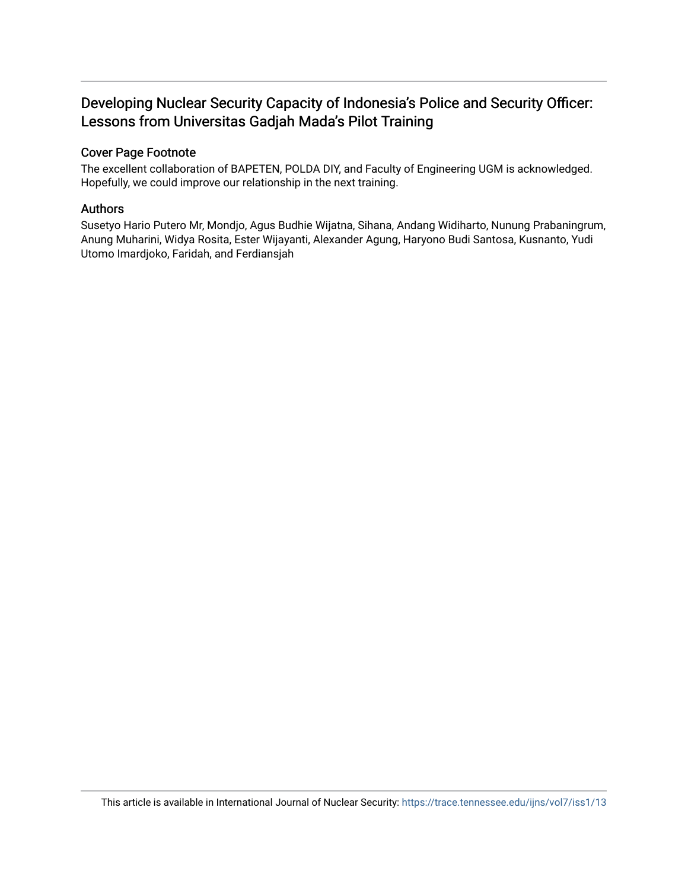#### Developing Nuclear Security Capacity of Indonesia's Police and Security Officer: Lessons from Universitas Gadjah Mada's Pilot Training

#### Cover Page Footnote

The excellent collaboration of BAPETEN, POLDA DIY, and Faculty of Engineering UGM is acknowledged. Hopefully, we could improve our relationship in the next training.

#### Authors

Susetyo Hario Putero Mr, Mondjo, Agus Budhie Wijatna, Sihana, Andang Widiharto, Nunung Prabaningrum, Anung Muharini, Widya Rosita, Ester Wijayanti, Alexander Agung, Haryono Budi Santosa, Kusnanto, Yudi Utomo Imardjoko, Faridah, and Ferdiansjah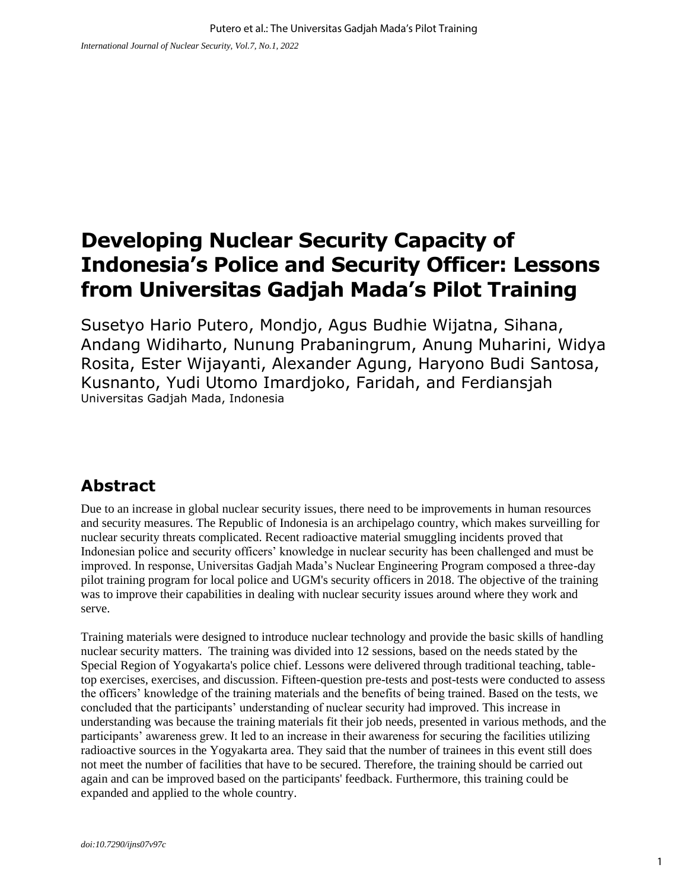## **Developing Nuclear Security Capacity of Indonesia's Police and Security Officer: Lessons from Universitas Gadjah Mada's Pilot Training**

Susetyo Hario Putero, Mondjo, Agus Budhie Wijatna, Sihana, Andang Widiharto, Nunung Prabaningrum, Anung Muharini, Widya Rosita, Ester Wijayanti, Alexander Agung, Haryono Budi Santosa, Kusnanto, Yudi Utomo Imardjoko, Faridah, and Ferdiansjah Universitas Gadjah Mada, Indonesia

### **Abstract**

Due to an increase in global nuclear security issues, there need to be improvements in human resources and security measures. The Republic of Indonesia is an archipelago country, which makes surveilling for nuclear security threats complicated. Recent radioactive material smuggling incidents proved that Indonesian police and security officers' knowledge in nuclear security has been challenged and must be improved. In response, Universitas Gadjah Mada's Nuclear Engineering Program composed a three-day pilot training program for local police and UGM's security officers in 2018. The objective of the training was to improve their capabilities in dealing with nuclear security issues around where they work and serve.

Training materials were designed to introduce nuclear technology and provide the basic skills of handling nuclear security matters. The training was divided into 12 sessions, based on the needs stated by the Special Region of Yogyakarta's police chief. Lessons were delivered through traditional teaching, tabletop exercises, exercises, and discussion. Fifteen-question pre-tests and post-tests were conducted to assess the officers' knowledge of the training materials and the benefits of being trained. Based on the tests, we concluded that the participants' understanding of nuclear security had improved. This increase in understanding was because the training materials fit their job needs, presented in various methods, and the participants' awareness grew. It led to an increase in their awareness for securing the facilities utilizing radioactive sources in the Yogyakarta area. They said that the number of trainees in this event still does not meet the number of facilities that have to be secured. Therefore, the training should be carried out again and can be improved based on the participants' feedback. Furthermore, this training could be expanded and applied to the whole country.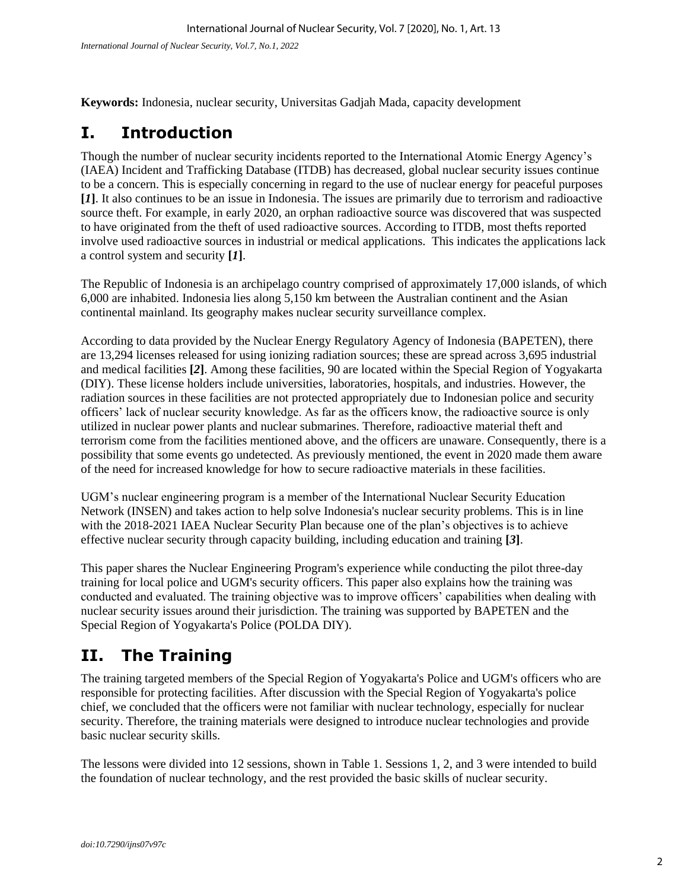**Keywords:** Indonesia, nuclear security, Universitas Gadjah Mada, capacity development

#### **I. Introduction**

Though the number of nuclear security incidents reported to the International Atomic Energy Agency's (IAEA) Incident and Trafficking Database (ITDB) has decreased, global nuclear security issues continue to be a concern. This is especially concerning in regard to the use of nuclear energy for peaceful purposes **[***1***]**. It also continues to be an issue in Indonesia. The issues are primarily due to terrorism and radioactive source theft. For example, in early 2020, an orphan radioactive source was discovered that was suspected to have originated from the theft of used radioactive sources. According to ITDB, most thefts reported involve used radioactive sources in industrial or medical applications. This indicates the applications lack a control system and security **[***1***]**.

The Republic of Indonesia is an archipelago country comprised of approximately 17,000 islands, of which 6,000 are inhabited. Indonesia lies along 5,150 km between the Australian continent and the Asian continental mainland. Its geography makes nuclear security surveillance complex.

According to data provided by the Nuclear Energy Regulatory Agency of Indonesia (BAPETEN), there are 13,294 licenses released for using ionizing radiation sources; these are spread across 3,695 industrial and medical facilities **[***2***]**. Among these facilities, 90 are located within the Special Region of Yogyakarta (DIY). These license holders include universities, laboratories, hospitals, and industries. However, the radiation sources in these facilities are not protected appropriately due to Indonesian police and security officers' lack of nuclear security knowledge. As far as the officers know, the radioactive source is only utilized in nuclear power plants and nuclear submarines. Therefore, radioactive material theft and terrorism come from the facilities mentioned above, and the officers are unaware. Consequently, there is a possibility that some events go undetected. As previously mentioned, the event in 2020 made them aware of the need for increased knowledge for how to secure radioactive materials in these facilities.

UGM's nuclear engineering program is a member of the International Nuclear Security Education Network (INSEN) and takes action to help solve Indonesia's nuclear security problems. This is in line with the 2018-2021 IAEA Nuclear Security Plan because one of the plan's objectives is to achieve effective nuclear security through capacity building, including education and training **[***3***]**.

This paper shares the Nuclear Engineering Program's experience while conducting the pilot three-day training for local police and UGM's security officers. This paper also explains how the training was conducted and evaluated. The training objective was to improve officers' capabilities when dealing with nuclear security issues around their jurisdiction. The training was supported by BAPETEN and the Special Region of Yogyakarta's Police (POLDA DIY).

### **II. The Training**

The training targeted members of the Special Region of Yogyakarta's Police and UGM's officers who are responsible for protecting facilities. After discussion with the Special Region of Yogyakarta's police chief, we concluded that the officers were not familiar with nuclear technology, especially for nuclear security. Therefore, the training materials were designed to introduce nuclear technologies and provide basic nuclear security skills.

The lessons were divided into 12 sessions, shown in Table 1. Sessions 1, 2, and 3 were intended to build the foundation of nuclear technology, and the rest provided the basic skills of nuclear security.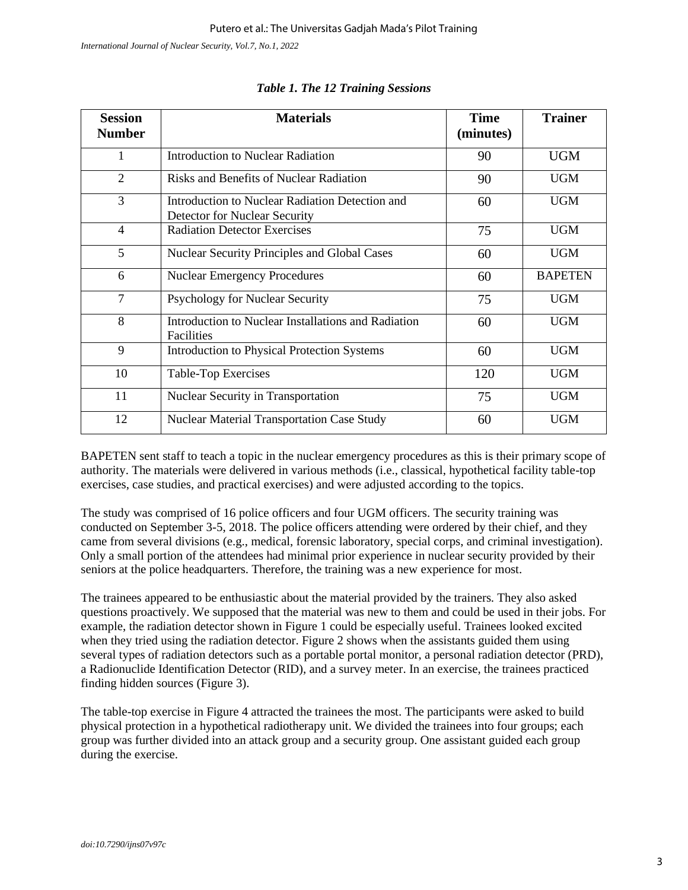*International Journal of Nuclear Security, Vol.7, No.1, 2022*

| <b>Session</b><br><b>Number</b> | <b>Materials</b>                                                                 | <b>Time</b><br>(minutes) | <b>Trainer</b> |
|---------------------------------|----------------------------------------------------------------------------------|--------------------------|----------------|
| 1                               | Introduction to Nuclear Radiation                                                | 90                       | <b>UGM</b>     |
| $\overline{2}$                  | <b>Risks and Benefits of Nuclear Radiation</b>                                   | 90                       | <b>UGM</b>     |
| 3                               | Introduction to Nuclear Radiation Detection and<br>Detector for Nuclear Security | 60                       | <b>UGM</b>     |
| $\overline{4}$                  | <b>Radiation Detector Exercises</b>                                              | 75                       | <b>UGM</b>     |
| 5                               | <b>Nuclear Security Principles and Global Cases</b>                              | 60                       | <b>UGM</b>     |
| 6                               | <b>Nuclear Emergency Procedures</b>                                              | 60                       | <b>BAPETEN</b> |
| $\overline{7}$                  | Psychology for Nuclear Security                                                  | 75                       | <b>UGM</b>     |
| 8                               | Introduction to Nuclear Installations and Radiation<br><b>Facilities</b>         | 60                       | <b>UGM</b>     |
| 9                               | <b>Introduction to Physical Protection Systems</b>                               | 60                       | <b>UGM</b>     |
| 10                              | Table-Top Exercises                                                              | 120                      | <b>UGM</b>     |
| 11                              | Nuclear Security in Transportation                                               | 75                       | <b>UGM</b>     |
| 12                              | Nuclear Material Transportation Case Study                                       | 60                       | <b>UGM</b>     |

#### *Table 1. The 12 Training Sessions*

BAPETEN sent staff to teach a topic in the nuclear emergency procedures as this is their primary scope of authority. The materials were delivered in various methods (i.e., classical, hypothetical facility table-top exercises, case studies, and practical exercises) and were adjusted according to the topics.

The study was comprised of 16 police officers and four UGM officers. The security training was conducted on September 3-5, 2018. The police officers attending were ordered by their chief, and they came from several divisions (e.g., medical, forensic laboratory, special corps, and criminal investigation). Only a small portion of the attendees had minimal prior experience in nuclear security provided by their seniors at the police headquarters. Therefore, the training was a new experience for most.

The trainees appeared to be enthusiastic about the material provided by the trainers. They also asked questions proactively. We supposed that the material was new to them and could be used in their jobs. For example, the radiation detector shown in Figure 1 could be especially useful. Trainees looked excited when they tried using the radiation detector. Figure 2 shows when the assistants guided them using several types of radiation detectors such as a portable portal monitor, a personal radiation detector (PRD), a Radionuclide Identification Detector (RID), and a survey meter. In an exercise, the trainees practiced finding hidden sources (Figure 3).

The table-top exercise in Figure 4 attracted the trainees the most. The participants were asked to build physical protection in a hypothetical radiotherapy unit. We divided the trainees into four groups; each group was further divided into an attack group and a security group. One assistant guided each group during the exercise.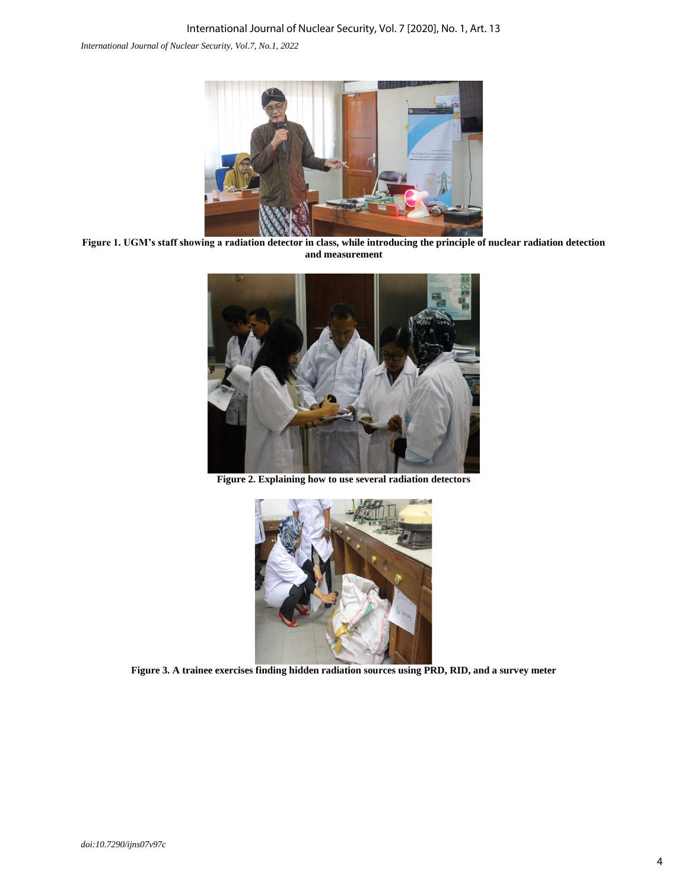*International Journal of Nuclear Security, Vol.7, No.1, 2022*



**Figure 1. UGM's staff showing a radiation detector in class, while introducing the principle of nuclear radiation detection and measurement**



**Figure 2. Explaining how to use several radiation detectors**



**Figure 3. A trainee exercises finding hidden radiation sources using PRD, RID, and a survey meter**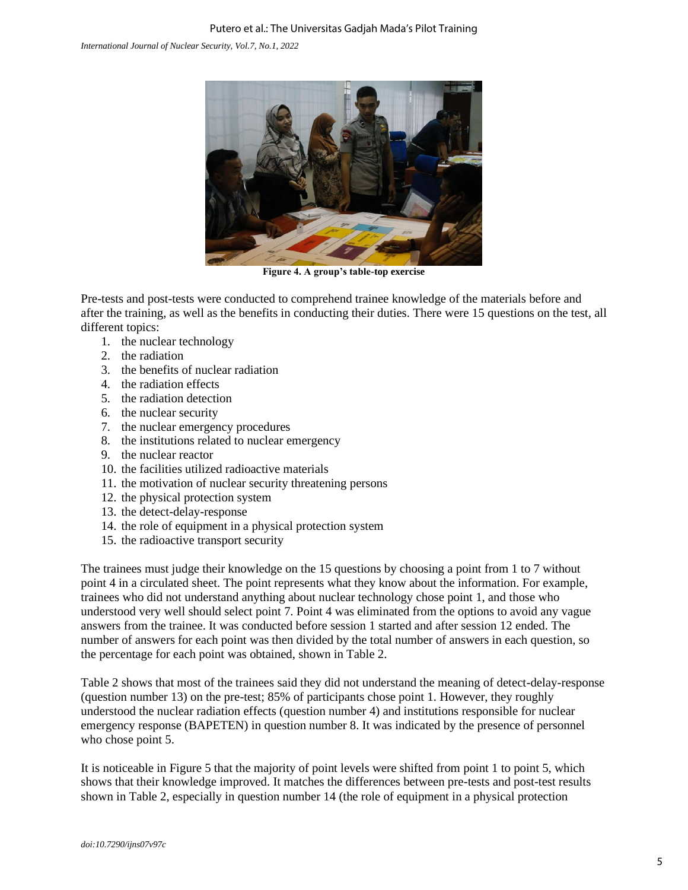*International Journal of Nuclear Security, Vol.7, No.1, 2022*



**Figure 4. A group's table-top exercise**

Pre-tests and post-tests were conducted to comprehend trainee knowledge of the materials before and after the training, as well as the benefits in conducting their duties. There were 15 questions on the test, all different topics:

- 1. the nuclear technology
- 2. the radiation
- 3. the benefits of nuclear radiation
- 4. the radiation effects
- 5. the radiation detection
- 6. the nuclear security
- 7. the nuclear emergency procedures
- 8. the institutions related to nuclear emergency
- 9. the nuclear reactor
- 10. the facilities utilized radioactive materials
- 11. the motivation of nuclear security threatening persons
- 12. the physical protection system
- 13. the detect-delay-response
- 14. the role of equipment in a physical protection system
- 15. the radioactive transport security

The trainees must judge their knowledge on the 15 questions by choosing a point from 1 to 7 without point 4 in a circulated sheet. The point represents what they know about the information. For example, trainees who did not understand anything about nuclear technology chose point 1, and those who understood very well should select point 7. Point 4 was eliminated from the options to avoid any vague answers from the trainee. It was conducted before session 1 started and after session 12 ended. The number of answers for each point was then divided by the total number of answers in each question, so the percentage for each point was obtained, shown in Table 2.

Table 2 shows that most of the trainees said they did not understand the meaning of detect-delay-response (question number 13) on the pre-test; 85% of participants chose point 1. However, they roughly understood the nuclear radiation effects (question number 4) and institutions responsible for nuclear emergency response (BAPETEN) in question number 8. It was indicated by the presence of personnel who chose point 5.

It is noticeable in Figure 5 that the majority of point levels were shifted from point 1 to point 5, which shows that their knowledge improved. It matches the differences between pre-tests and post-test results shown in Table 2, especially in question number 14 (the role of equipment in a physical protection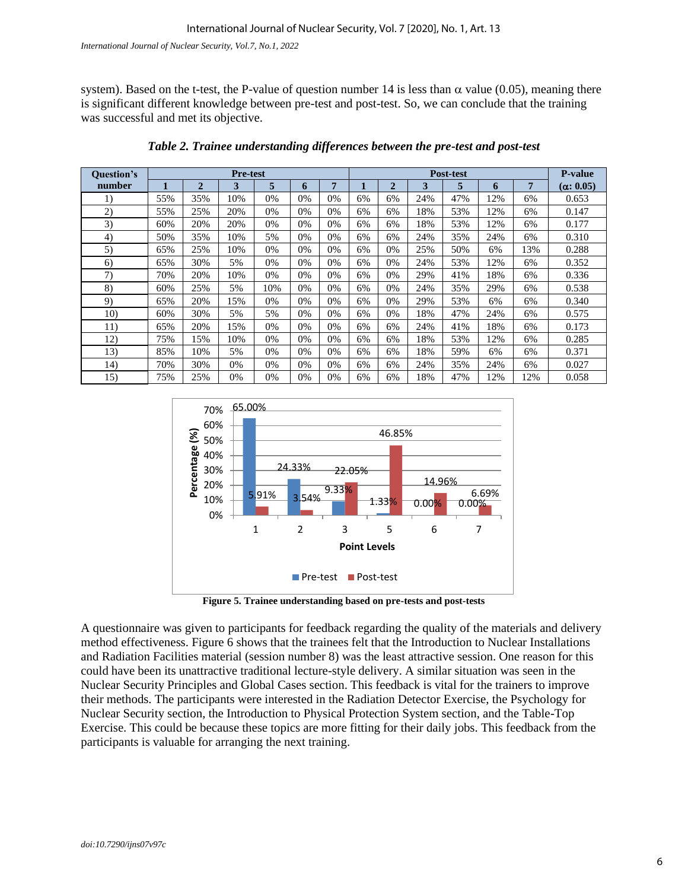system). Based on the t-test, the P-value of question number 14 is less than  $\alpha$  value (0.05), meaning there is significant different knowledge between pre-test and post-test. So, we can conclude that the training was successful and met its objective.

| <b>Ouestion's</b> | <b>Pre-test</b> |                |     |     |       |    |    | <b>Post-test</b> |     |     |     |                | <b>P-value</b>   |
|-------------------|-----------------|----------------|-----|-----|-------|----|----|------------------|-----|-----|-----|----------------|------------------|
| number            |                 | $\overline{2}$ | 3   | 5   | 6     | 7  | ш  | $\overline{2}$   | 3   | 5   | 6   | $\overline{7}$ | $(\alpha: 0.05)$ |
| 1)                | 55%             | 35%            | 10% | 0%  | 0%    | 0% | 6% | 6%               | 24% | 47% | 12% | 6%             | 0.653            |
| 2)                | 55%             | 25%            | 20% | 0%  | $0\%$ | 0% | 6% | 6%               | 18% | 53% | 12% | 6%             | 0.147            |
| 3)                | 60%             | 20%            | 20% | 0%  | 0%    | 0% | 6% | 6%               | 18% | 53% | 12% | 6%             | 0.177            |
| 4)                | 50%             | 35%            | 10% | 5%  | $0\%$ | 0% | 6% | 6%               | 24% | 35% | 24% | 6%             | 0.310            |
| 5)                | 65%             | 25%            | 10% | 0%  | 0%    | 0% | 6% | 0%               | 25% | 50% | 6%  | 13%            | 0.288            |
| 6)                | 65%             | 30%            | 5%  | 0%  | 0%    | 0% | 6% | 0%               | 24% | 53% | 12% | 6%             | 0.352            |
| 7)                | 70%             | 20%            | 10% | 0%  | 0%    | 0% | 6% | 0%               | 29% | 41% | 18% | 6%             | 0.336            |
| 8)                | 60%             | 25%            | 5%  | 10% | 0%    | 0% | 6% | 0%               | 24% | 35% | 29% | 6%             | 0.538            |
| 9)                | 65%             | 20%            | 15% | 0%  | 0%    | 0% | 6% | 0%               | 29% | 53% | 6%  | 6%             | 0.340            |
| 10)               | 60%             | 30%            | 5%  | 5%  | 0%    | 0% | 6% | 0%               | 18% | 47% | 24% | 6%             | 0.575            |
| 11)               | 65%             | 20%            | 15% | 0%  | 0%    | 0% | 6% | 6%               | 24% | 41% | 18% | 6%             | 0.173            |
| 12)               | 75%             | 15%            | 10% | 0%  | 0%    | 0% | 6% | 6%               | 18% | 53% | 12% | 6%             | 0.285            |
| 13)               | 85%             | 10%            | 5%  | 0%  | 0%    | 0% | 6% | 6%               | 18% | 59% | 6%  | 6%             | 0.371            |
| 14)               | 70%             | 30%            | 0%  | 0%  | $0\%$ | 0% | 6% | 6%               | 24% | 35% | 24% | 6%             | 0.027            |
| 15)               | 75%             | 25%            | 0%  | 0%  | 0%    | 0% | 6% | 6%               | 18% | 47% | 12% | 12%            | 0.058            |

*Table 2. Trainee understanding differences between the pre-test and post-test*



**Figure 5. Trainee understanding based on pre-tests and post-tests**

A questionnaire was given to participants for feedback regarding the quality of the materials and delivery method effectiveness. Figure 6 shows that the trainees felt that the Introduction to Nuclear Installations and Radiation Facilities material (session number 8) was the least attractive session. One reason for this could have been its unattractive traditional lecture-style delivery. A similar situation was seen in the Nuclear Security Principles and Global Cases section. This feedback is vital for the trainers to improve their methods. The participants were interested in the Radiation Detector Exercise, the Psychology for Nuclear Security section, the Introduction to Physical Protection System section, and the Table-Top Exercise. This could be because these topics are more fitting for their daily jobs. This feedback from the participants is valuable for arranging the next training.